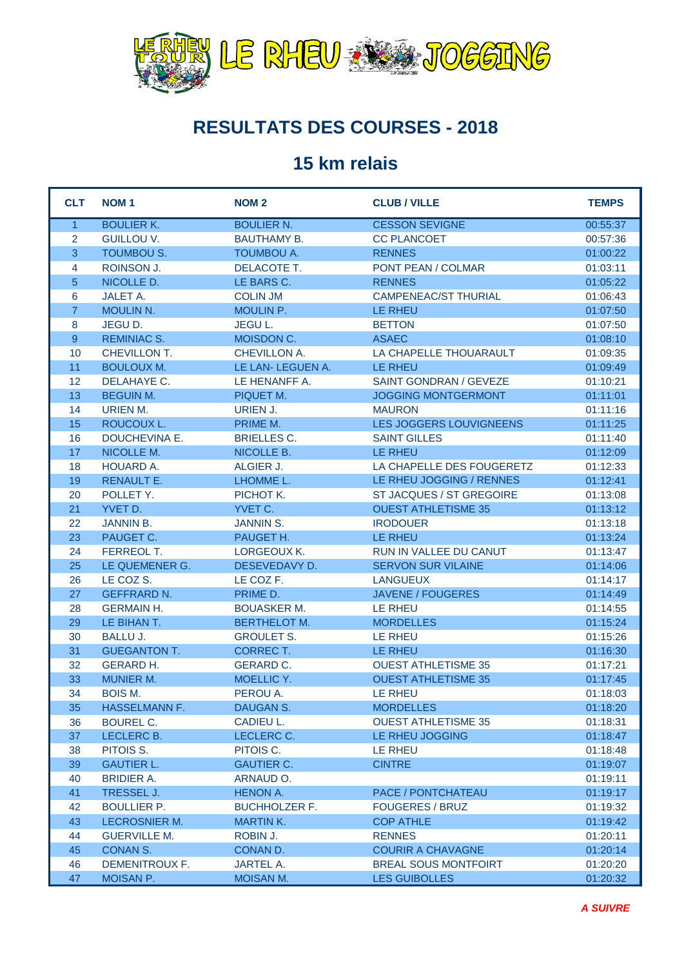

## **RESULTATS DES COURSES - 2018**

## **15 km relais**

| <b>CLT</b>     | <b>NOM1</b>          | <b>NOM2</b>          | <b>CLUB / VILLE</b>         | <b>TEMPS</b> |
|----------------|----------------------|----------------------|-----------------------------|--------------|
| $\mathbf{1}$   | <b>BOULIER K.</b>    | <b>BOULIER N.</b>    | <b>CESSON SEVIGNE</b>       | 00:55:37     |
| 2              | <b>GUILLOU V.</b>    | <b>BAUTHAMY B.</b>   | <b>CC PLANCOET</b>          | 00:57:36     |
| $\overline{3}$ | <b>TOUMBOU S.</b>    | <b>TOUMBOU A.</b>    | <b>RENNES</b>               | 01:00:22     |
| 4              | ROINSON J.           | DELACOTE T.          | PONT PEAN / COLMAR          | 01:03:11     |
| 5              | NICOLLE D.           | LE BARS C.           | <b>RENNES</b>               | 01:05:22     |
| 6              | <b>JALET A.</b>      | <b>COLIN JM</b>      | <b>CAMPENEAC/ST THURIAL</b> | 01:06:43     |
| $\overline{7}$ | <b>MOULIN N.</b>     | MOULIN P.            | <b>LE RHEU</b>              | 01:07:50     |
| 8              | JEGU D.              | JEGU L.              | <b>BETTON</b>               | 01:07:50     |
| 9              | <b>REMINIAC S.</b>   | MOISDON C.           | <b>ASAEC</b>                | 01:08:10     |
| 10             | CHEVILLON T.         | CHEVILLON A.         | LA CHAPELLE THOUARAULT      | 01:09:35     |
| 11             | <b>BOULOUX M.</b>    | LE LAN- LEGUEN A.    | LE RHEU                     | 01:09:49     |
| 12             | DELAHAYE C.          | LE HENANFF A.        | SAINT GONDRAN / GEVEZE      | 01:10:21     |
| 13             | <b>BEGUIN M.</b>     | PIQUET M.            | <b>JOGGING MONTGERMONT</b>  | 01:11:01     |
| 14             | URIEN M.             | URIEN J.             | <b>MAURON</b>               | 01:11:16     |
| 15             | ROUCOUX L.           | PRIME M.             | LES JOGGERS LOUVIGNEENS     | 01:11:25     |
| 16             | DOUCHEVINA E.        | <b>BRIELLES C.</b>   | <b>SAINT GILLES</b>         | 01:11:40     |
| 17             | NICOLLE M.           | NICOLLE B.           | LE RHEU                     | 01:12:09     |
| 18             | <b>HOUARD A.</b>     | ALGIER J.            | LA CHAPELLE DES FOUGERETZ   | 01:12:33     |
| 19             | <b>RENAULT E.</b>    | LHOMME L.            | LE RHEU JOGGING / RENNES    | 01:12:41     |
| 20             | POLLET Y.            | PICHOT K.            | ST JACQUES / ST GREGOIRE    | 01:13:08     |
| 21             | YVET D.              | YVET C.              | <b>OUEST ATHLETISME 35</b>  | 01:13:12     |
| 22             | <b>JANNIN B.</b>     | <b>JANNIN S.</b>     | <b>IRODOUER</b>             | 01:13:18     |
| 23             | PAUGET C.            | PAUGET H.            | <b>LE RHEU</b>              | 01:13:24     |
| 24             | FERREOL T.           | LORGEOUX K.          | RUN IN VALLEE DU CANUT      | 01:13:47     |
| 25             | LE QUEMENER G.       | DESEVEDAVY D.        | <b>SERVON SUR VILAINE</b>   | 01:14:06     |
| 26             | LE COZ S.            | LE COZ F.            | <b>LANGUEUX</b>             | 01:14:17     |
| 27             | <b>GEFFRARD N.</b>   | PRIME D.             | <b>JAVENE / FOUGERES</b>    | 01:14:49     |
| 28             | <b>GERMAIN H.</b>    | <b>BOUASKER M.</b>   | LE RHEU                     | 01:14:55     |
| 29             | LE BIHAN T.          | <b>BERTHELOT M.</b>  | <b>MORDELLES</b>            | 01:15:24     |
| 30             | <b>BALLU J.</b>      | <b>GROULET S.</b>    | LE RHEU                     | 01:15:26     |
| 31             | <b>GUEGANTON T.</b>  | <b>CORRECT.</b>      | LE RHEU                     | 01:16:30     |
| 32             | <b>GERARD H.</b>     | <b>GERARD C.</b>     | <b>OUEST ATHLETISME 35</b>  | 01:17:21     |
| 33             | <b>MUNIER M.</b>     | MOELLIC Y.           | <b>OUEST ATHLETISME 35</b>  | 01:17:45     |
| 34             | <b>BOIS M.</b>       | PEROU A.             | <b>LE RHEU</b>              | 01:18:03     |
| 35             | HASSELMANN F.        | DAUGAN S.            | <b>MORDELLES</b>            | 01:18:20     |
| 36             | <b>BOUREL C.</b>     | CADIEU L.            | <b>OUEST ATHLETISME 35</b>  | 01:18:31     |
| 37             | LECLERC B.           | LECLERC C.           | LE RHEU JOGGING             | 01:18:47     |
| 38             | PITOIS S.            | PITOIS C.            | LE RHEU                     | 01:18:48     |
| 39             | <b>GAUTIER L.</b>    | <b>GAUTIER C.</b>    | <b>CINTRE</b>               | 01:19:07     |
| 40             | <b>BRIDIER A.</b>    | ARNAUD O.            |                             | 01:19:11     |
| 41             | TRESSEL J.           | <b>HENON A.</b>      | PACE / PONTCHATEAU          | 01:19:17     |
| 42             | <b>BOULLIER P.</b>   | <b>BUCHHOLZER F.</b> | <b>FOUGERES / BRUZ</b>      | 01:19:32     |
| 43             | <b>LECROSNIER M.</b> | <b>MARTIN K.</b>     | <b>COP ATHLE</b>            | 01:19:42     |
| 44             | <b>GUERVILLE M.</b>  | ROBIN J.             | <b>RENNES</b>               | 01:20:11     |
| 45             | <b>CONAN S.</b>      | CONAN D.             | <b>COURIR A CHAVAGNE</b>    | 01:20:14     |
| 46             | DEMENITROUX F.       | <b>JARTEL A.</b>     | <b>BREAL SOUS MONTFOIRT</b> | 01:20:20     |
| 47             | MOISAN P.            | MOISAN M.            | <b>LES GUIBOLLES</b>        | 01:20:32     |